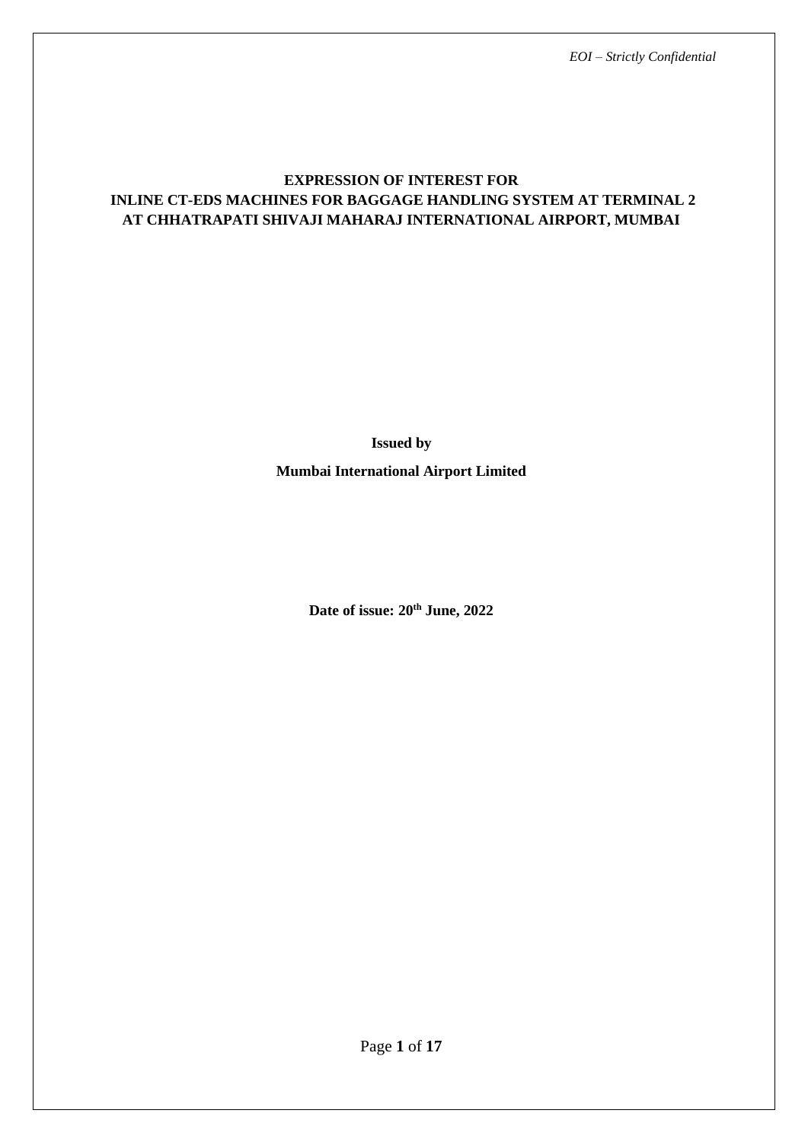# **EXPRESSION OF INTEREST FOR INLINE CT-EDS MACHINES FOR BAGGAGE HANDLING SYSTEM AT TERMINAL 2 AT CHHATRAPATI SHIVAJI MAHARAJ INTERNATIONAL AIRPORT, MUMBAI**

**Issued by Mumbai International Airport Limited**

**Date of issue: 20th June, 2022**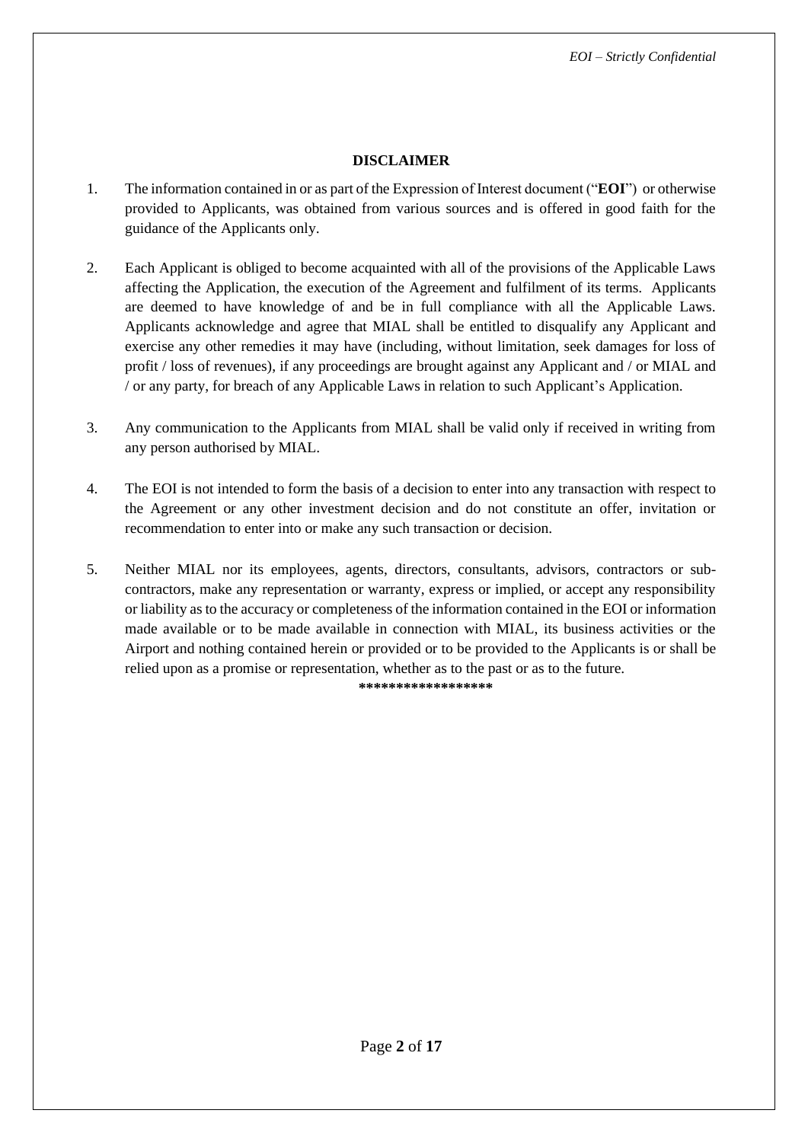# **DISCLAIMER**

- 1. The information contained in or as part of the Expression of Interest document ("**EOI**") or otherwise provided to Applicants, was obtained from various sources and is offered in good faith for the guidance of the Applicants only.
- 2. Each Applicant is obliged to become acquainted with all of the provisions of the Applicable Laws affecting the Application, the execution of the Agreement and fulfilment of its terms. Applicants are deemed to have knowledge of and be in full compliance with all the Applicable Laws. Applicants acknowledge and agree that MIAL shall be entitled to disqualify any Applicant and exercise any other remedies it may have (including, without limitation, seek damages for loss of profit / loss of revenues), if any proceedings are brought against any Applicant and / or MIAL and / or any party, for breach of any Applicable Laws in relation to such Applicant's Application.
- 3. Any communication to the Applicants from MIAL shall be valid only if received in writing from any person authorised by MIAL.
- 4. The EOI is not intended to form the basis of a decision to enter into any transaction with respect to the Agreement or any other investment decision and do not constitute an offer, invitation or recommendation to enter into or make any such transaction or decision.
- 5. Neither MIAL nor its employees, agents, directors, consultants, advisors, contractors or subcontractors, make any representation or warranty, express or implied, or accept any responsibility or liability as to the accuracy or completeness of the information contained in the EOI or information made available or to be made available in connection with MIAL, its business activities or the Airport and nothing contained herein or provided or to be provided to the Applicants is or shall be relied upon as a promise or representation, whether as to the past or as to the future.

**\*\*\*\*\*\*\*\*\*\*\*\*\*\*\*\*\*\***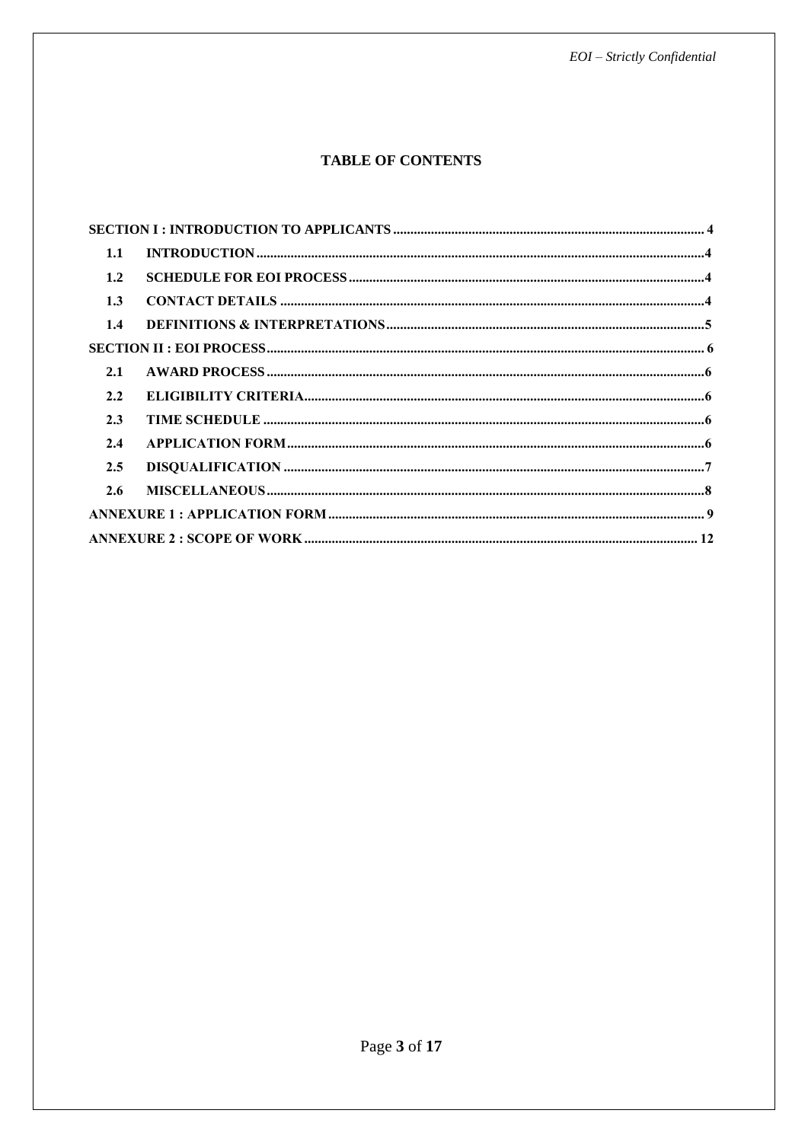# **TABLE OF CONTENTS**

| 1.1 |  |  |
|-----|--|--|
| 1.2 |  |  |
| 1.3 |  |  |
| 1.4 |  |  |
|     |  |  |
| 2.1 |  |  |
| 2.2 |  |  |
| 2.3 |  |  |
| 2.4 |  |  |
| 2.5 |  |  |
| 2.6 |  |  |
|     |  |  |
|     |  |  |
|     |  |  |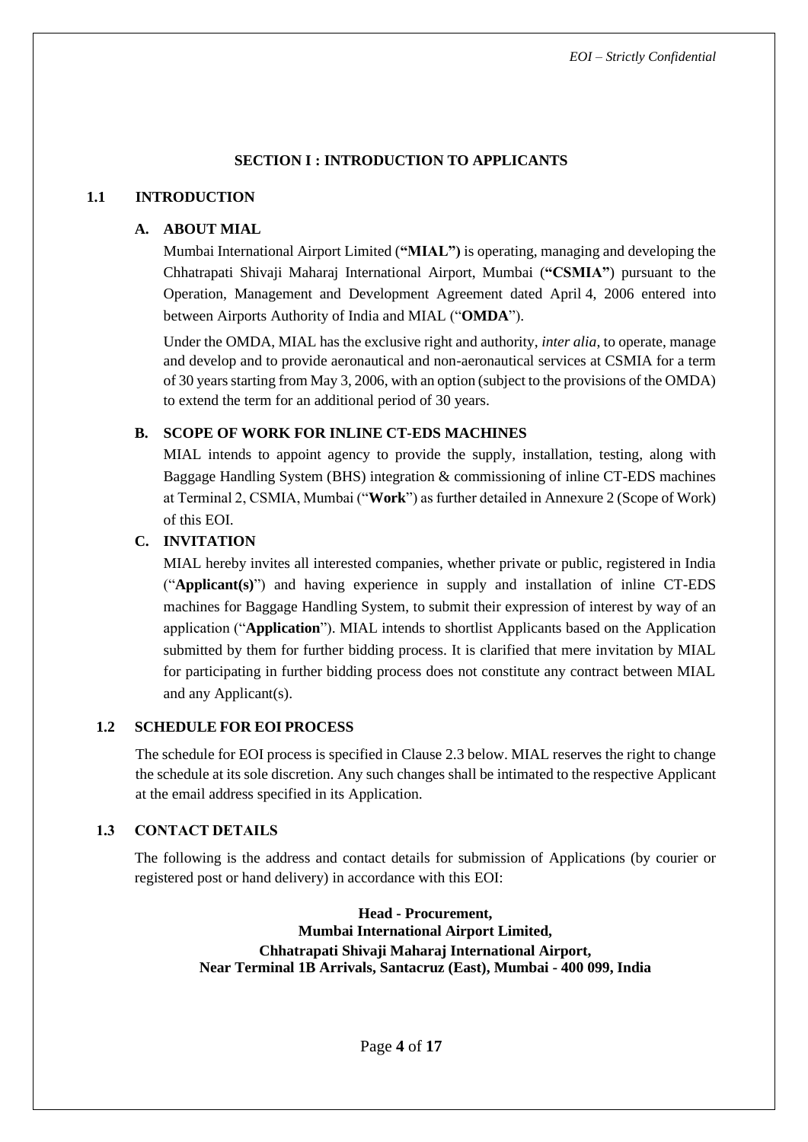# **SECTION I : INTRODUCTION TO APPLICANTS**

### <span id="page-3-1"></span><span id="page-3-0"></span>**1.1 INTRODUCTION**

# **A. ABOUT MIAL**

Mumbai International Airport Limited (**"MIAL")** is operating, managing and developing the Chhatrapati Shivaji Maharaj International Airport, Mumbai (**"CSMIA"**) pursuant to the Operation, Management and Development Agreement dated April 4, 2006 entered into between Airports Authority of India and MIAL ("**OMDA**").

Under the OMDA, MIAL has the exclusive right and authority, *inter alia*, to operate, manage and develop and to provide aeronautical and non-aeronautical services at CSMIA for a term of 30 years starting from May 3, 2006, with an option (subject to the provisions of the OMDA) to extend the term for an additional period of 30 years.

# **B. SCOPE OF WORK FOR INLINE CT-EDS MACHINES**

MIAL intends to appoint agency to provide the supply, installation, testing, along with Baggage Handling System (BHS) integration & commissioning of inline CT-EDS machines at Terminal 2, CSMIA, Mumbai ("**Work**") as further detailed in [Annexure 2](#page-11-0) (Scope of Work) of this EOI.

# **C. INVITATION**

MIAL hereby invites all interested companies, whether private or public, registered in India ("**Applicant(s)**") and having experience in supply and installation of inline CT-EDS machines for Baggage Handling System, to submit their expression of interest by way of an application ("**Application**"). MIAL intends to shortlist Applicants based on the Application submitted by them for further bidding process. It is clarified that mere invitation by MIAL for participating in further bidding process does not constitute any contract between MIAL and any Applicant(s).

# <span id="page-3-2"></span>**1.2 SCHEDULE FOR EOI PROCESS**

The schedule for EOI process is specified in Clause [2.3 below.](#page-5-3) MIAL reserves the right to change the schedule at its sole discretion. Any such changes shall be intimated to the respective Applicant at the email address specified in its Application.

# <span id="page-3-3"></span>**1.3 CONTACT DETAILS**

The following is the address and contact details for submission of Applications (by courier or registered post or hand delivery) in accordance with this EOI:

> **Head - Procurement, Mumbai International Airport Limited, Chhatrapati Shivaji Maharaj International Airport, Near Terminal 1B Arrivals, Santacruz (East), Mumbai - 400 099, India**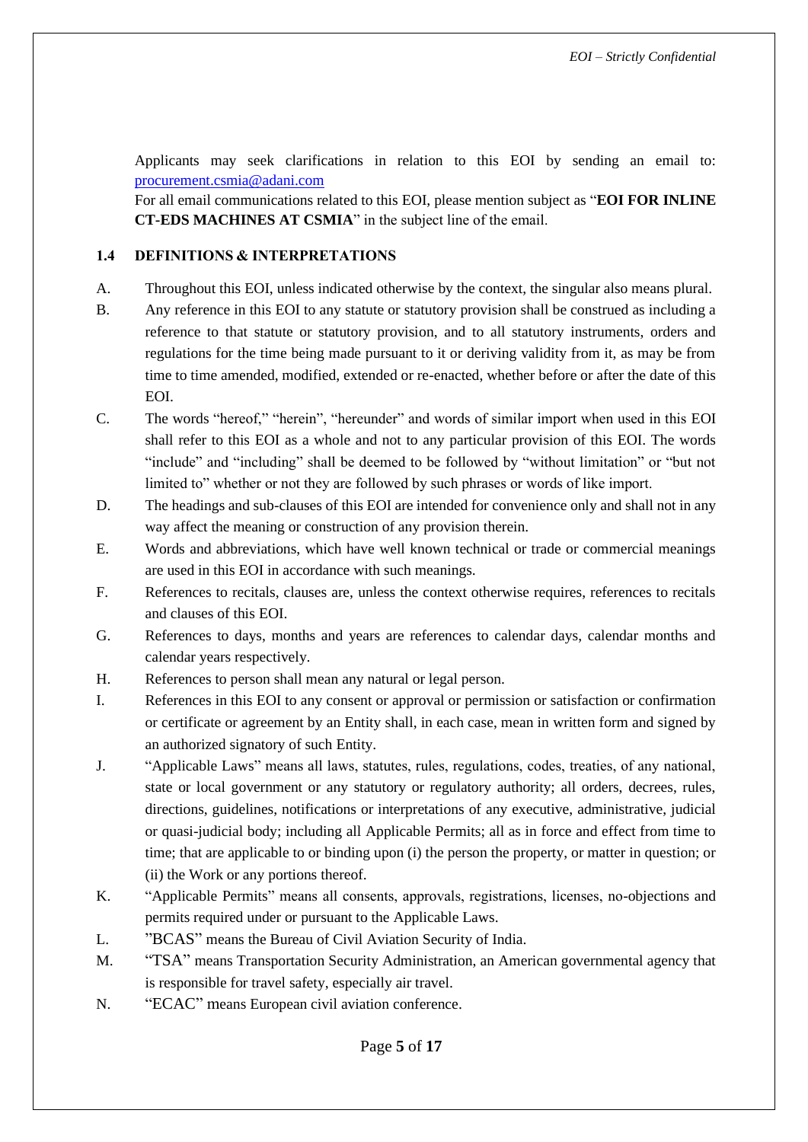Applicants may seek clarifications in relation to this EOI by sending an email to: [procurement.csmia@adani.com](mailto:gm.finance@adani.com)

For all email communications related to this EOI, please mention subject as "**EOI FOR INLINE CT-EDS MACHINES AT CSMIA**" in the subject line of the email.

# <span id="page-4-0"></span>**1.4 DEFINITIONS & INTERPRETATIONS**

- A. Throughout this EOI, unless indicated otherwise by the context, the singular also means plural.
- B. Any reference in this EOI to any statute or statutory provision shall be construed as including a reference to that statute or statutory provision, and to all statutory instruments, orders and regulations for the time being made pursuant to it or deriving validity from it, as may be from time to time amended, modified, extended or re-enacted, whether before or after the date of this EOI.
- C. The words "hereof," "herein", "hereunder" and words of similar import when used in this EOI shall refer to this EOI as a whole and not to any particular provision of this EOI. The words "include" and "including" shall be deemed to be followed by "without limitation" or "but not limited to" whether or not they are followed by such phrases or words of like import.
- D. The headings and sub-clauses of this EOI are intended for convenience only and shall not in any way affect the meaning or construction of any provision therein.
- E. Words and abbreviations, which have well known technical or trade or commercial meanings are used in this EOI in accordance with such meanings.
- F. References to recitals, clauses are, unless the context otherwise requires, references to recitals and clauses of this EOI.
- G. References to days, months and years are references to calendar days, calendar months and calendar years respectively.
- H. References to person shall mean any natural or legal person.
- I. References in this EOI to any consent or approval or permission or satisfaction or confirmation or certificate or agreement by an Entity shall, in each case, mean in written form and signed by an authorized signatory of such Entity.
- J. "Applicable Laws" means all laws, statutes, rules, regulations, codes, treaties, of any national, state or local government or any statutory or regulatory authority; all orders, decrees, rules, directions, guidelines, notifications or interpretations of any executive, administrative, judicial or quasi-judicial body; including all Applicable Permits; all as in force and effect from time to time; that are applicable to or binding upon (i) the person the property, or matter in question; or (ii) the Work or any portions thereof.
- K. "Applicable Permits" means all consents, approvals, registrations, licenses, no-objections and permits required under or pursuant to the Applicable Laws.
- L. "BCAS" means the Bureau of Civil Aviation Security of India.
- M. "TSA" means Transportation Security Administration, an American governmental agency that is responsible for travel safety, especially air travel.
- N. "ECAC" means European civil aviation conference.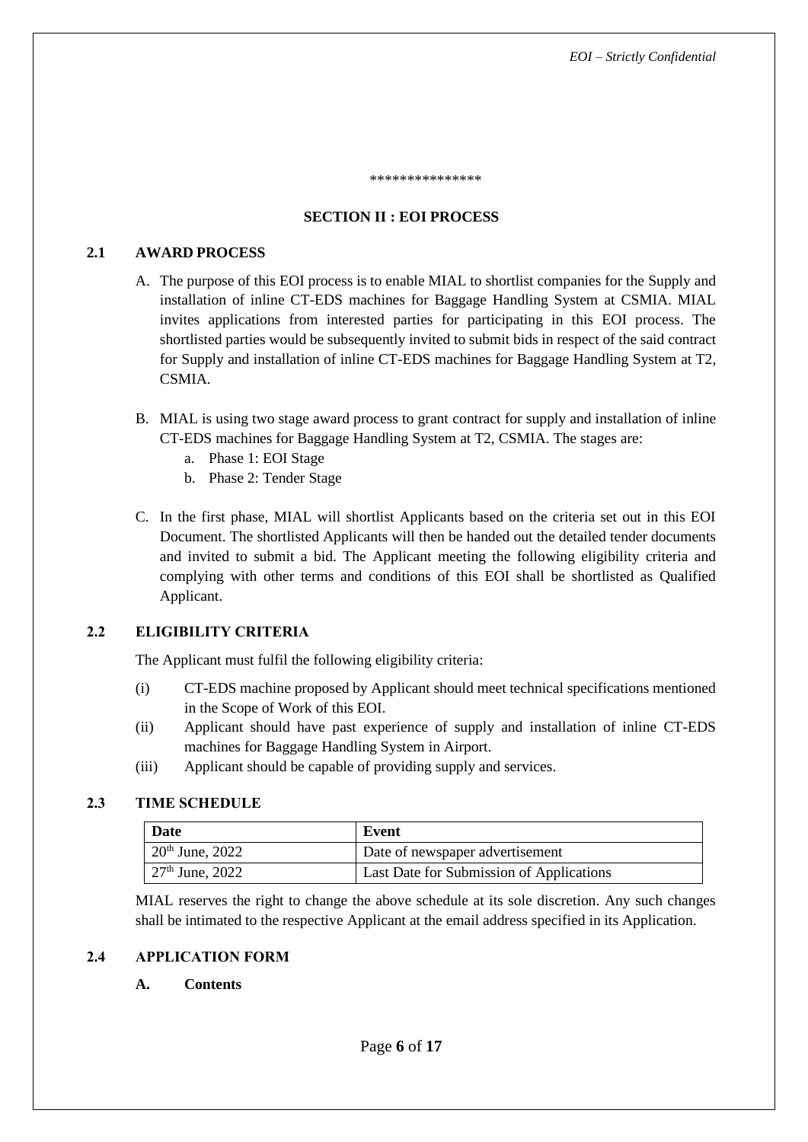\*\*\*\*\*\*\*\*\*\*\*\*\*\*\*\*\*\*\*\*\*\*\*\*\*\*\*\*

### **SECTION II : EOI PROCESS**

### <span id="page-5-1"></span><span id="page-5-0"></span>**2.1 AWARD PROCESS**

- A. The purpose of this EOI process is to enable MIAL to shortlist companies for the Supply and installation of inline CT-EDS machines for Baggage Handling System at CSMIA. MIAL invites applications from interested parties for participating in this EOI process. The shortlisted parties would be subsequently invited to submit bids in respect of the said contract for Supply and installation of inline CT-EDS machines for Baggage Handling System at T2, CSMIA.
- B. MIAL is using two stage award process to grant contract for supply and installation of inline CT-EDS machines for Baggage Handling System at T2, CSMIA. The stages are:
	- a. Phase 1: EOI Stage
	- b. Phase 2: Tender Stage
- C. In the first phase, MIAL will shortlist Applicants based on the criteria set out in this EOI Document. The shortlisted Applicants will then be handed out the detailed tender documents and invited to submit a bid. The Applicant meeting the following eligibility criteria and complying with other terms and conditions of this EOI shall be shortlisted as Qualified Applicant.

# <span id="page-5-2"></span>**2.2 ELIGIBILITY CRITERIA**

The Applicant must fulfil the following eligibility criteria:

- (i) CT-EDS machine proposed by Applicant should meet technical specifications mentioned in the Scope of Work of this EOI.
- (ii) Applicant should have past experience of supply and installation of inline CT-EDS machines for Baggage Handling System in Airport.
- (iii) Applicant should be capable of providing supply and services.

### <span id="page-5-3"></span>**2.3 TIME SCHEDULE**

| <b>Date</b>       | Event                                    |
|-------------------|------------------------------------------|
| $20th$ June, 2022 | Date of newspaper advertisement          |
| $27th$ June, 2022 | Last Date for Submission of Applications |

MIAL reserves the right to change the above schedule at its sole discretion. Any such changes shall be intimated to the respective Applicant at the email address specified in its Application.

### <span id="page-5-4"></span>**2.4 APPLICATION FORM**

### **A. Contents**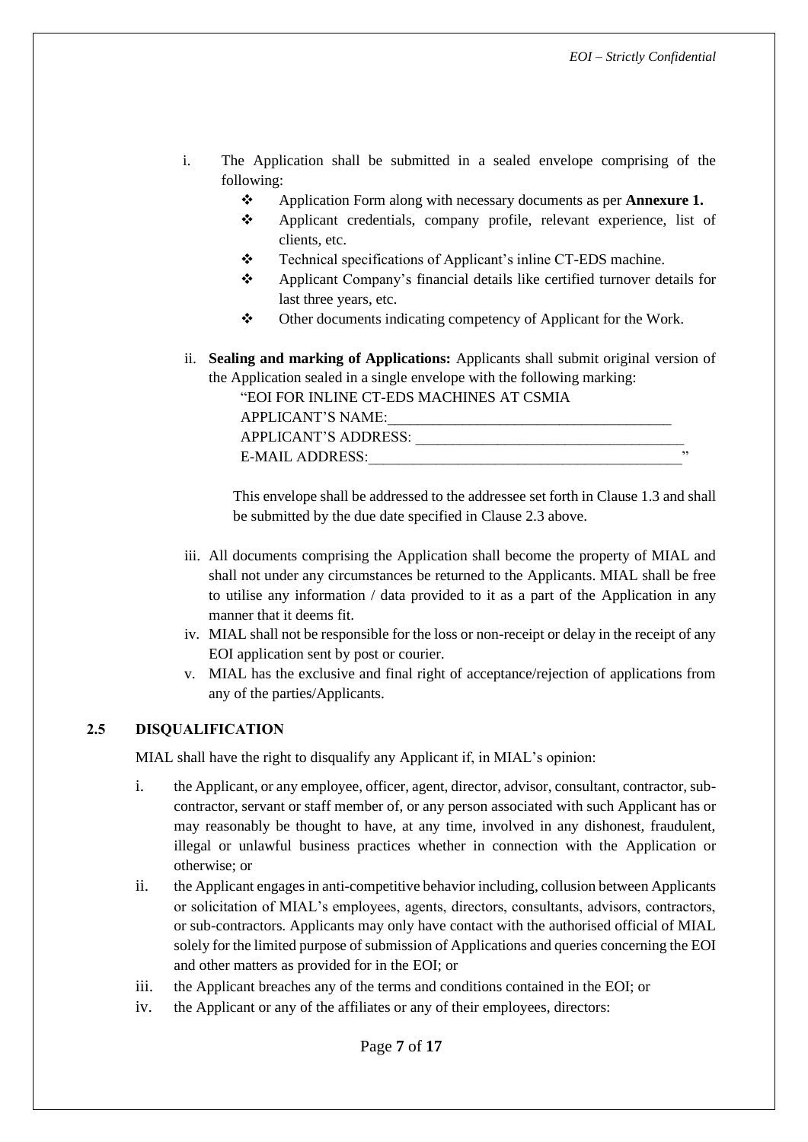- i. The Application shall be submitted in a sealed envelope comprising of the following:
	- ❖ Application Form along with necessary documents as per **[Annexure 1.](#page-8-0)**
	- ❖ Applicant credentials, company profile, relevant experience, list of clients, etc.
	- ❖ Technical specifications of Applicant's inline CT-EDS machine.
	- ❖ Applicant Company's financial details like certified turnover details for last three years, etc.
	- ❖ Other documents indicating competency of Applicant for the Work.
- ii. **Sealing and marking of Applications:** Applicants shall submit original version of the Application sealed in a single envelope with the following marking:

| "EOI FOR INLINE CT-EDS MACHINES AT CSMIA |  |
|------------------------------------------|--|
| APPLICANT'S NAME:                        |  |
| APPLICANT'S ADDRESS:                     |  |

This envelope shall be addressed to the addressee set forth in Clause [1.3](#page-3-3) and shall be submitted by the due date specified in Clause [2.3 above.](#page-5-3)

- iii. All documents comprising the Application shall become the property of MIAL and shall not under any circumstances be returned to the Applicants. MIAL shall be free to utilise any information / data provided to it as a part of the Application in any manner that it deems fit.
- iv. MIAL shall not be responsible for the loss or non-receipt or delay in the receipt of any EOI application sent by post or courier.
- v. MIAL has the exclusive and final right of acceptance/rejection of applications from any of the parties/Applicants.

# <span id="page-6-0"></span>**2.5 DISQUALIFICATION**

MIAL shall have the right to disqualify any Applicant if, in MIAL's opinion:

E-MAIL ADDRESS:

- i. the Applicant, or any employee, officer, agent, director, advisor, consultant, contractor, subcontractor, servant or staff member of, or any person associated with such Applicant has or may reasonably be thought to have, at any time, involved in any dishonest, fraudulent, illegal or unlawful business practices whether in connection with the Application or otherwise; or
- ii. the Applicant engages in anti-competitive behavior including, collusion between Applicants or solicitation of MIAL's employees, agents, directors, consultants, advisors, contractors, or sub-contractors. Applicants may only have contact with the authorised official of MIAL solely for the limited purpose of submission of Applications and queries concerning the EOI and other matters as provided for in the EOI; or
- iii. the Applicant breaches any of the terms and conditions contained in the EOI; or
- iv. the Applicant or any of the affiliates or any of their employees, directors: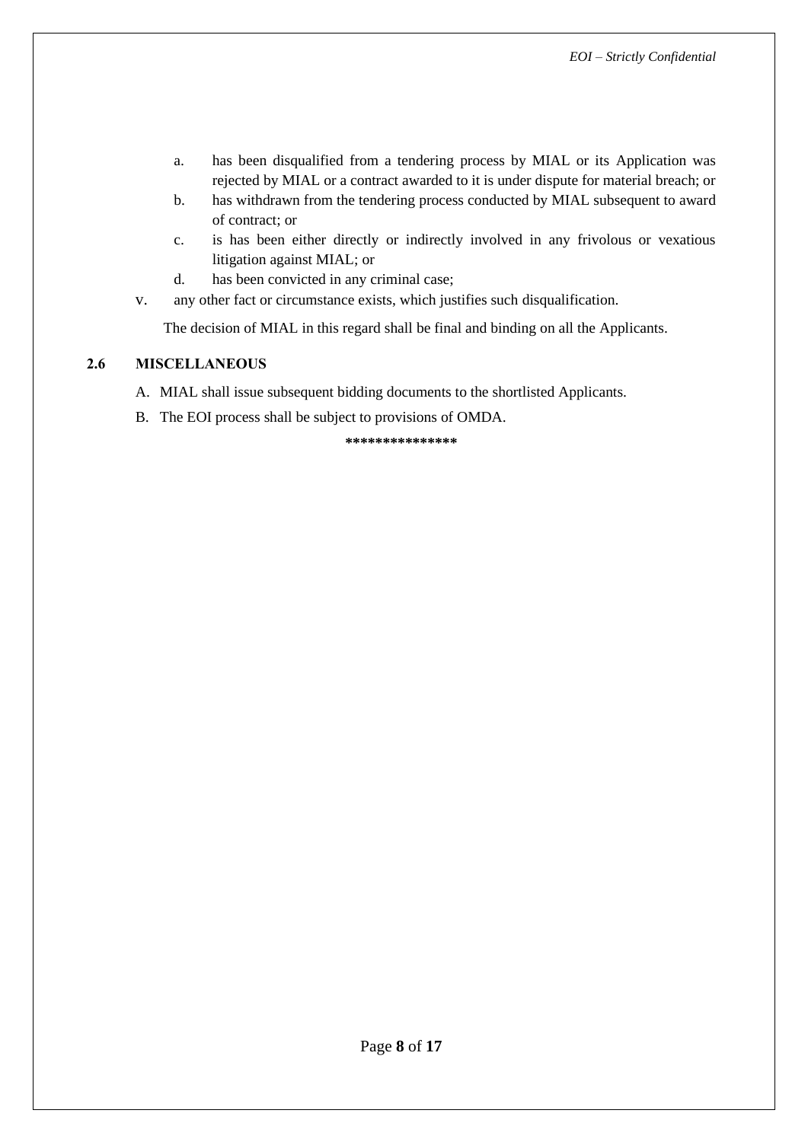- a. has been disqualified from a tendering process by MIAL or its Application was rejected by MIAL or a contract awarded to it is under dispute for material breach; or
- b. has withdrawn from the tendering process conducted by MIAL subsequent to award of contract; or
- c. is has been either directly or indirectly involved in any frivolous or vexatious litigation against MIAL; or
- d. has been convicted in any criminal case;
- v. any other fact or circumstance exists, which justifies such disqualification.

The decision of MIAL in this regard shall be final and binding on all the Applicants.

# <span id="page-7-0"></span>**2.6 MISCELLANEOUS**

- A. MIAL shall issue subsequent bidding documents to the shortlisted Applicants.
- B. The EOI process shall be subject to provisions of OMDA.

**\*\*\*\*\*\*\*\*\*\*\*\*\*\*\***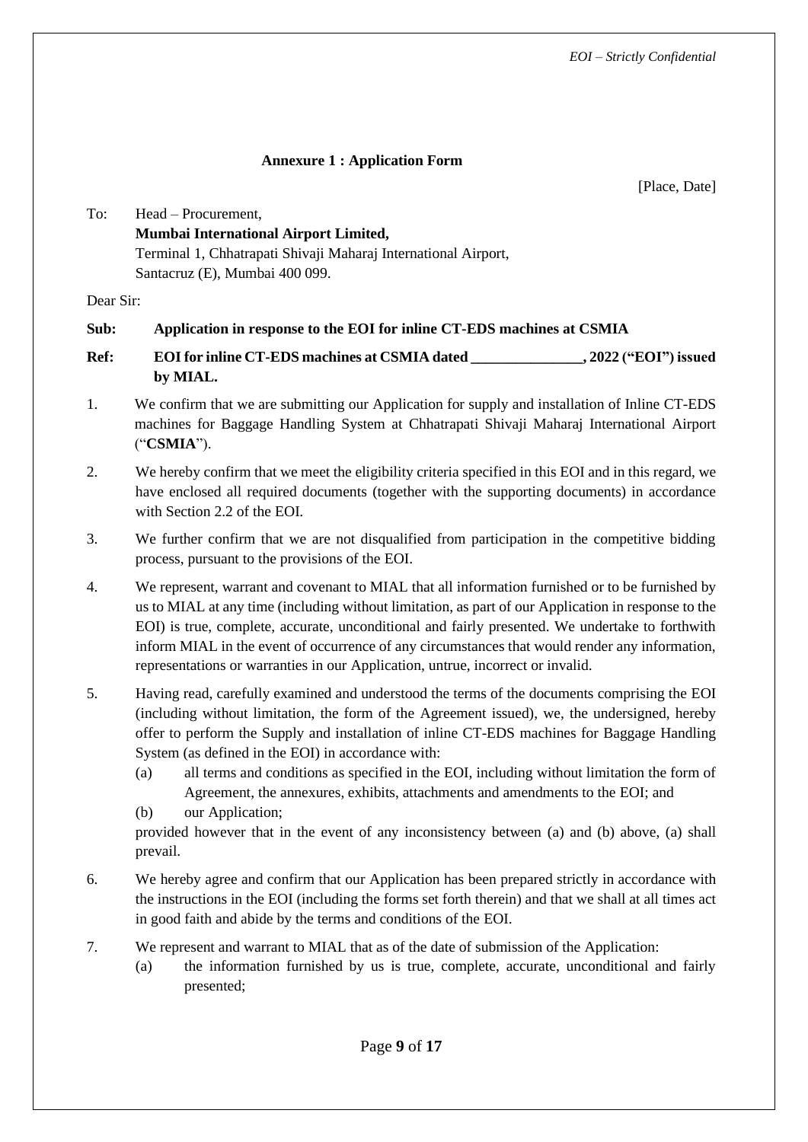# **Annexure 1 : Application Form**

[Place, Date]

<span id="page-8-0"></span>To: Head – Procurement, **Mumbai International Airport Limited,** Terminal 1, Chhatrapati Shivaji Maharaj International Airport, Santacruz (E), Mumbai 400 099.

Dear Sir:

# **Sub: Application in response to the EOI for inline CT-EDS machines at CSMIA**

- **Ref: EOIfor inline CT-EDS machines at CSMIA dated \_\_\_\_\_\_\_\_\_\_\_\_\_\_\_, 2022 ("EOI") issued by MIAL.**
- 1. We confirm that we are submitting our Application for supply and installation of Inline CT-EDS machines for Baggage Handling System at Chhatrapati Shivaji Maharaj International Airport ("**CSMIA**").
- 2. We hereby confirm that we meet the eligibility criteria specified in this EOI and in this regard, we have enclosed all required documents (together with the supporting documents) in accordance with Section [2.2](#page-5-2) of the EOI.
- 3. We further confirm that we are not disqualified from participation in the competitive bidding process, pursuant to the provisions of the EOI.
- 4. We represent, warrant and covenant to MIAL that all information furnished or to be furnished by us to MIAL at any time (including without limitation, as part of our Application in response to the EOI) is true, complete, accurate, unconditional and fairly presented. We undertake to forthwith inform MIAL in the event of occurrence of any circumstances that would render any information, representations or warranties in our Application, untrue, incorrect or invalid.
- 5. Having read, carefully examined and understood the terms of the documents comprising the EOI (including without limitation, the form of the Agreement issued), we, the undersigned, hereby offer to perform the Supply and installation of inline CT-EDS machines for Baggage Handling System (as defined in the EOI) in accordance with:
	- (a) all terms and conditions as specified in the EOI, including without limitation the form of Agreement, the annexures, exhibits, attachments and amendments to the EOI; and

<span id="page-8-2"></span><span id="page-8-1"></span>(b) our Application;

provided however that in the event of any inconsistency between [\(a\)](#page-8-1) and [\(b\)](#page-8-2) above, [\(a\)](#page-8-1) shall prevail.

- 6. We hereby agree and confirm that our Application has been prepared strictly in accordance with the instructions in the EOI (including the forms set forth therein) and that we shall at all times act in good faith and abide by the terms and conditions of the EOI.
- 7. We represent and warrant to MIAL that as of the date of submission of the Application:
	- (a) the information furnished by us is true, complete, accurate, unconditional and fairly presented;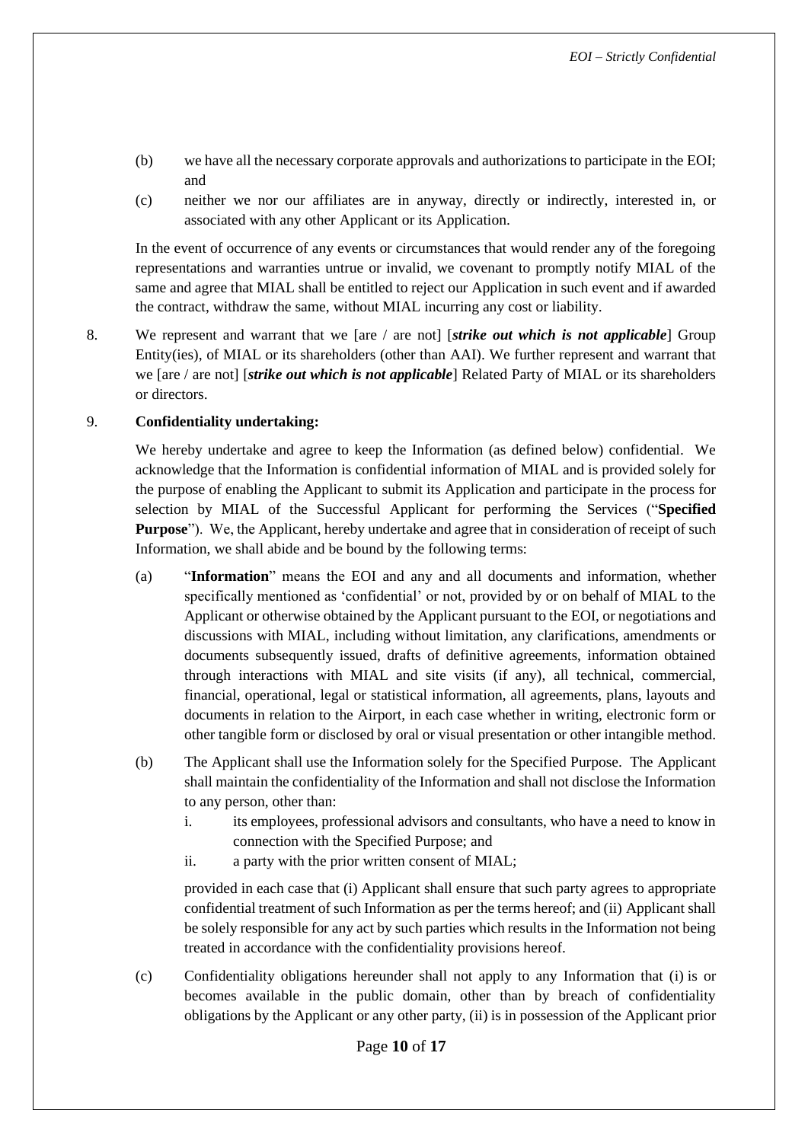- (b) we have all the necessary corporate approvals and authorizations to participate in the EOI; and
- (c) neither we nor our affiliates are in anyway, directly or indirectly, interested in, or associated with any other Applicant or its Application.

In the event of occurrence of any events or circumstances that would render any of the foregoing representations and warranties untrue or invalid, we covenant to promptly notify MIAL of the same and agree that MIAL shall be entitled to reject our Application in such event and if awarded the contract, withdraw the same, without MIAL incurring any cost or liability.

8. We represent and warrant that we [are / are not] [*strike out which is not applicable*] Group Entity(ies), of MIAL or its shareholders (other than AAI). We further represent and warrant that we [are / are not] [*strike out which is not applicable*] Related Party of MIAL or its shareholders or directors.

# 9. **Confidentiality undertaking:**

We hereby undertake and agree to keep the Information (as defined below) confidential. We acknowledge that the Information is confidential information of MIAL and is provided solely for the purpose of enabling the Applicant to submit its Application and participate in the process for selection by MIAL of the Successful Applicant for performing the Services ("**Specified Purpose**"). We, the Applicant, hereby undertake and agree that in consideration of receipt of such Information, we shall abide and be bound by the following terms:

- (a) "**Information**" means the EOI and any and all documents and information, whether specifically mentioned as 'confidential' or not, provided by or on behalf of MIAL to the Applicant or otherwise obtained by the Applicant pursuant to the EOI, or negotiations and discussions with MIAL, including without limitation, any clarifications, amendments or documents subsequently issued, drafts of definitive agreements, information obtained through interactions with MIAL and site visits (if any), all technical, commercial, financial, operational, legal or statistical information, all agreements, plans, layouts and documents in relation to the Airport, in each case whether in writing, electronic form or other tangible form or disclosed by oral or visual presentation or other intangible method.
- (b) The Applicant shall use the Information solely for the Specified Purpose. The Applicant shall maintain the confidentiality of the Information and shall not disclose the Information to any person, other than:
	- i. its employees, professional advisors and consultants, who have a need to know in connection with the Specified Purpose; and
	- ii. a party with the prior written consent of MIAL;

provided in each case that (i) Applicant shall ensure that such party agrees to appropriate confidential treatment of such Information as per the terms hereof; and (ii) Applicant shall be solely responsible for any act by such parties which results in the Information not being treated in accordance with the confidentiality provisions hereof.

(c) Confidentiality obligations hereunder shall not apply to any Information that (i) is or becomes available in the public domain, other than by breach of confidentiality obligations by the Applicant or any other party, (ii) is in possession of the Applicant prior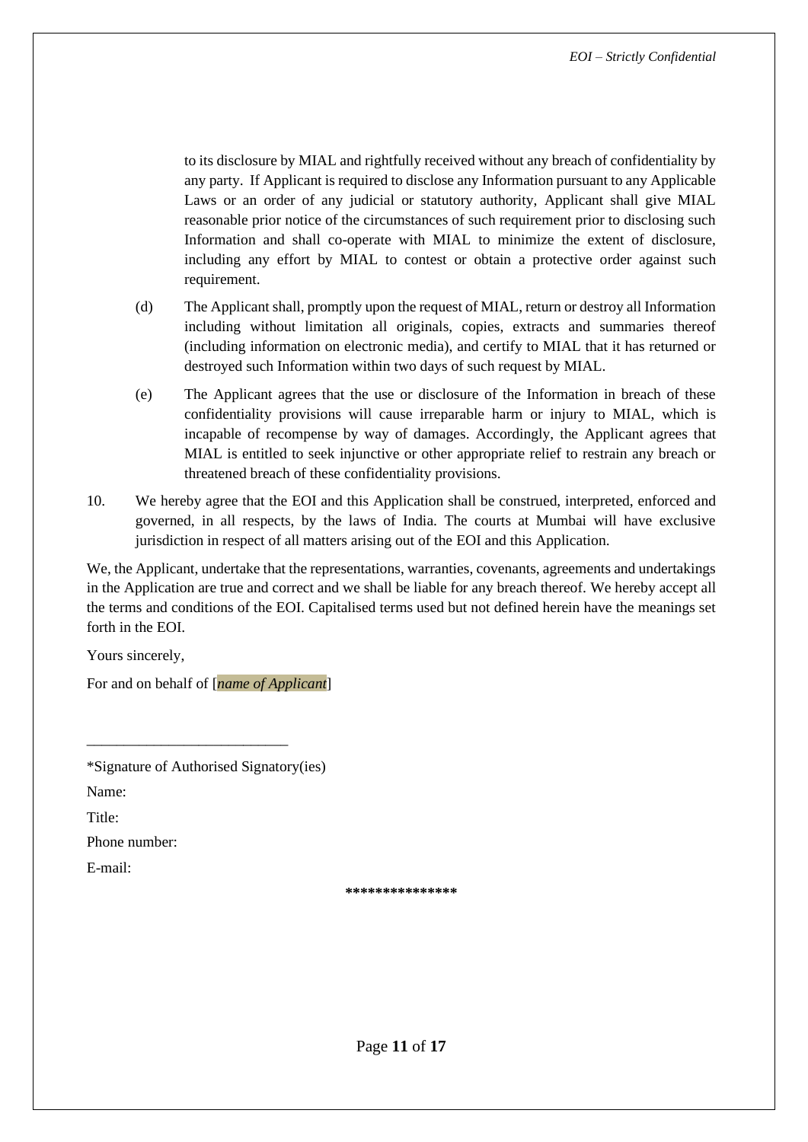to its disclosure by MIAL and rightfully received without any breach of confidentiality by any party. If Applicant is required to disclose any Information pursuant to any Applicable Laws or an order of any judicial or statutory authority, Applicant shall give MIAL reasonable prior notice of the circumstances of such requirement prior to disclosing such Information and shall co-operate with MIAL to minimize the extent of disclosure, including any effort by MIAL to contest or obtain a protective order against such requirement.

- (d) The Applicant shall, promptly upon the request of MIAL, return or destroy all Information including without limitation all originals, copies, extracts and summaries thereof (including information on electronic media), and certify to MIAL that it has returned or destroyed such Information within two days of such request by MIAL.
- (e) The Applicant agrees that the use or disclosure of the Information in breach of these confidentiality provisions will cause irreparable harm or injury to MIAL, which is incapable of recompense by way of damages. Accordingly, the Applicant agrees that MIAL is entitled to seek injunctive or other appropriate relief to restrain any breach or threatened breach of these confidentiality provisions.
- 10. We hereby agree that the EOI and this Application shall be construed, interpreted, enforced and governed, in all respects, by the laws of India. The courts at Mumbai will have exclusive jurisdiction in respect of all matters arising out of the EOI and this Application.

We, the Applicant, undertake that the representations, warranties, covenants, agreements and undertakings in the Application are true and correct and we shall be liable for any breach thereof. We hereby accept all the terms and conditions of the EOI. Capitalised terms used but not defined herein have the meanings set forth in the EOI.

Yours sincerely,

For and on behalf of [*name of Applicant*]

\*Signature of Authorised Signatory(ies)

\_\_\_\_\_\_\_\_\_\_\_\_\_\_\_\_\_\_\_\_\_\_\_\_\_\_\_

Name:

Title:

Phone number:

E-mail:

**\*\*\*\*\*\*\*\*\*\*\*\*\*\*\***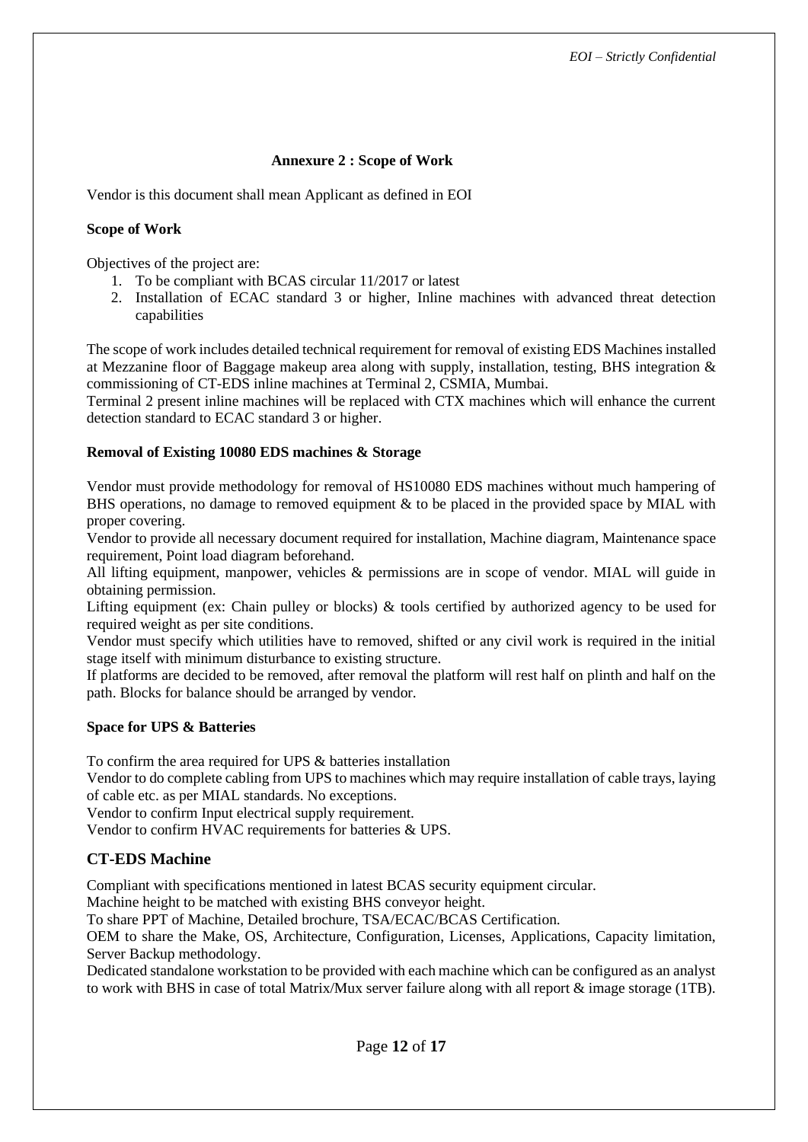### **Annexure 2 : Scope of Work**

<span id="page-11-0"></span>Vendor is this document shall mean Applicant as defined in EOI

#### **Scope of Work**

Objectives of the project are:

- 1. To be compliant with BCAS circular 11/2017 or latest
- 2. Installation of ECAC standard 3 or higher, Inline machines with advanced threat detection capabilities

The scope of work includes detailed technical requirement for removal of existing EDS Machines installed at Mezzanine floor of Baggage makeup area along with supply, installation, testing, BHS integration & commissioning of CT-EDS inline machines at Terminal 2, CSMIA, Mumbai.

Terminal 2 present inline machines will be replaced with CTX machines which will enhance the current detection standard to ECAC standard 3 or higher.

#### **Removal of Existing 10080 EDS machines & Storage**

Vendor must provide methodology for removal of HS10080 EDS machines without much hampering of BHS operations, no damage to removed equipment & to be placed in the provided space by MIAL with proper covering.

Vendor to provide all necessary document required for installation, Machine diagram, Maintenance space requirement, Point load diagram beforehand.

All lifting equipment, manpower, vehicles & permissions are in scope of vendor. MIAL will guide in obtaining permission.

Lifting equipment (ex: Chain pulley or blocks) & tools certified by authorized agency to be used for required weight as per site conditions.

Vendor must specify which utilities have to removed, shifted or any civil work is required in the initial stage itself with minimum disturbance to existing structure.

If platforms are decided to be removed, after removal the platform will rest half on plinth and half on the path. Blocks for balance should be arranged by vendor.

#### **Space for UPS & Batteries**

To confirm the area required for UPS & batteries installation

Vendor to do complete cabling from UPS to machines which may require installation of cable trays, laying of cable etc. as per MIAL standards. No exceptions.

Vendor to confirm Input electrical supply requirement.

Vendor to confirm HVAC requirements for batteries & UPS.

### **CT-EDS Machine**

Compliant with specifications mentioned in latest BCAS security equipment circular.

Machine height to be matched with existing BHS conveyor height.

To share PPT of Machine, Detailed brochure, TSA/ECAC/BCAS Certification.

OEM to share the Make, OS, Architecture, Configuration, Licenses, Applications, Capacity limitation, Server Backup methodology.

Dedicated standalone workstation to be provided with each machine which can be configured as an analyst to work with BHS in case of total Matrix/Mux server failure along with all report & image storage (1TB).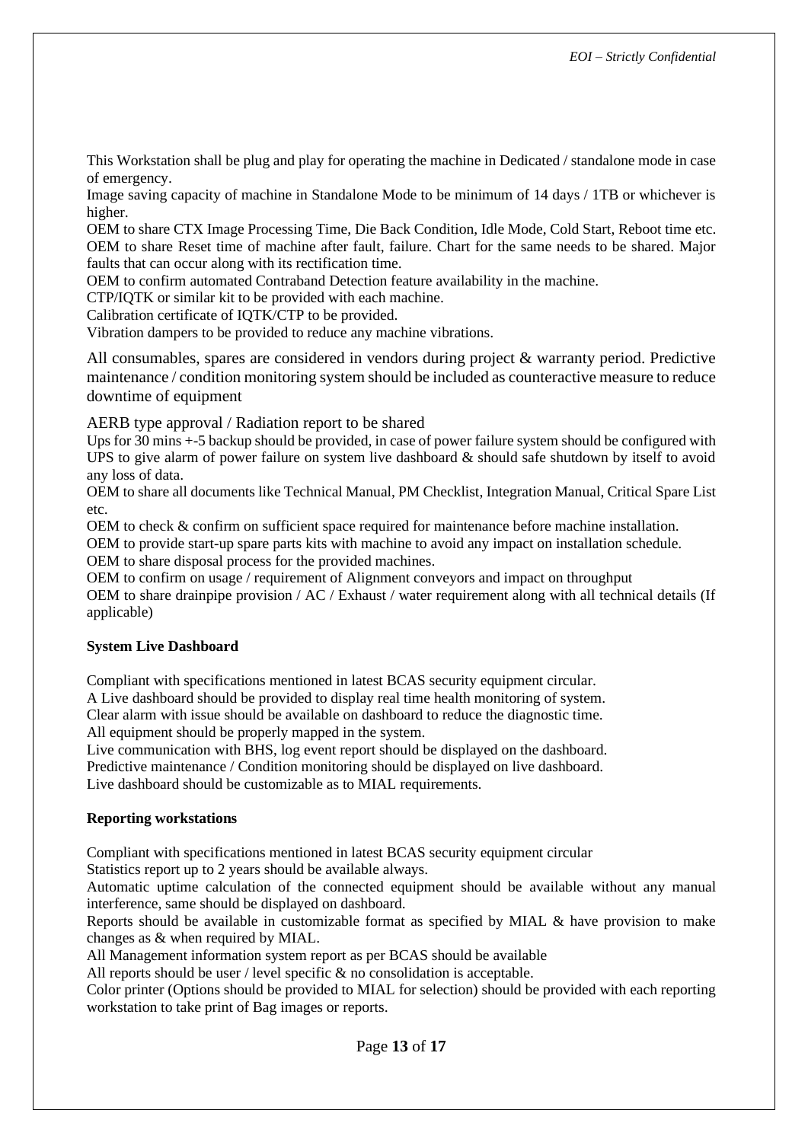This Workstation shall be plug and play for operating the machine in Dedicated / standalone mode in case of emergency.

Image saving capacity of machine in Standalone Mode to be minimum of 14 days / 1TB or whichever is higher.

OEM to share CTX Image Processing Time, Die Back Condition, Idle Mode, Cold Start, Reboot time etc. OEM to share Reset time of machine after fault, failure. Chart for the same needs to be shared. Major faults that can occur along with its rectification time.

OEM to confirm automated Contraband Detection feature availability in the machine.

CTP/IQTK or similar kit to be provided with each machine.

Calibration certificate of IQTK/CTP to be provided.

Vibration dampers to be provided to reduce any machine vibrations.

All consumables, spares are considered in vendors during project & warranty period. Predictive maintenance / condition monitoring system should be included as counteractive measure to reduce downtime of equipment

AERB type approval / Radiation report to be shared

Ups for 30 mins +-5 backup should be provided, in case of power failure system should be configured with UPS to give alarm of power failure on system live dashboard & should safe shutdown by itself to avoid any loss of data.

OEM to share all documents like Technical Manual, PM Checklist, Integration Manual, Critical Spare List etc.

OEM to check & confirm on sufficient space required for maintenance before machine installation.

OEM to provide start-up spare parts kits with machine to avoid any impact on installation schedule. OEM to share disposal process for the provided machines.

OEM to confirm on usage / requirement of Alignment conveyors and impact on throughput

OEM to share drainpipe provision / AC / Exhaust / water requirement along with all technical details (If applicable)

### **System Live Dashboard**

Compliant with specifications mentioned in latest BCAS security equipment circular.

A Live dashboard should be provided to display real time health monitoring of system. Clear alarm with issue should be available on dashboard to reduce the diagnostic time. All equipment should be properly mapped in the system.

Live communication with BHS, log event report should be displayed on the dashboard. Predictive maintenance / Condition monitoring should be displayed on live dashboard. Live dashboard should be customizable as to MIAL requirements.

#### **Reporting workstations**

Compliant with specifications mentioned in latest BCAS security equipment circular

Statistics report up to 2 years should be available always.

Automatic uptime calculation of the connected equipment should be available without any manual interference, same should be displayed on dashboard.

Reports should be available in customizable format as specified by MIAL & have provision to make changes as & when required by MIAL.

All Management information system report as per BCAS should be available

All reports should be user / level specific & no consolidation is acceptable.

Color printer (Options should be provided to MIAL for selection) should be provided with each reporting workstation to take print of Bag images or reports.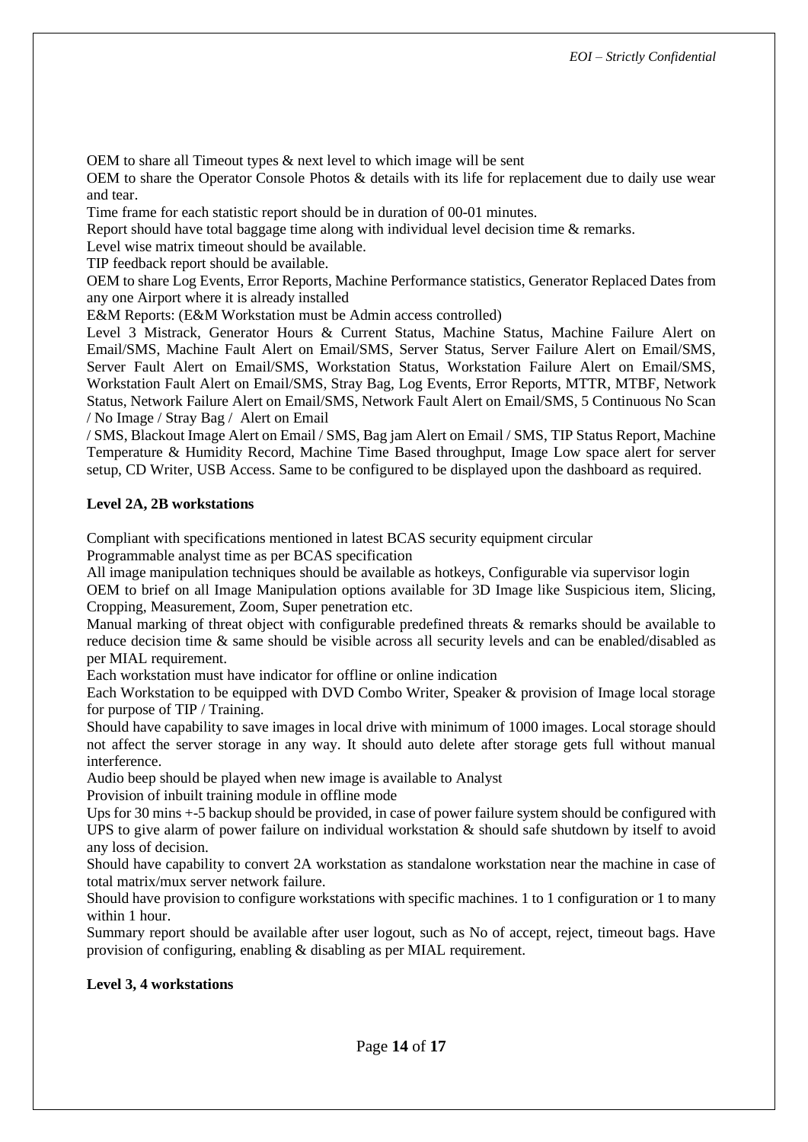OEM to share all Timeout types & next level to which image will be sent

OEM to share the Operator Console Photos & details with its life for replacement due to daily use wear and tear.

Time frame for each statistic report should be in duration of 00-01 minutes.

Report should have total baggage time along with individual level decision time & remarks.

Level wise matrix timeout should be available.

TIP feedback report should be available.

OEM to share Log Events, Error Reports, Machine Performance statistics, Generator Replaced Dates from any one Airport where it is already installed

E&M Reports: (E&M Workstation must be Admin access controlled)

Level 3 Mistrack, Generator Hours & Current Status, Machine Status, Machine Failure Alert on Email/SMS, Machine Fault Alert on Email/SMS, Server Status, Server Failure Alert on Email/SMS, Server Fault Alert on Email/SMS, Workstation Status, Workstation Failure Alert on Email/SMS, Workstation Fault Alert on Email/SMS, Stray Bag, Log Events, Error Reports, MTTR, MTBF, Network Status, Network Failure Alert on Email/SMS, Network Fault Alert on Email/SMS, 5 Continuous No Scan / No Image / Stray Bag / Alert on Email

/ SMS, Blackout Image Alert on Email / SMS, Bag jam Alert on Email / SMS, TIP Status Report, Machine Temperature & Humidity Record, Machine Time Based throughput, Image Low space alert for server setup, CD Writer, USB Access. Same to be configured to be displayed upon the dashboard as required.

### **Level 2A, 2B workstations**

Compliant with specifications mentioned in latest BCAS security equipment circular

Programmable analyst time as per BCAS specification

All image manipulation techniques should be available as hotkeys, Configurable via supervisor login

OEM to brief on all Image Manipulation options available for 3D Image like Suspicious item, Slicing, Cropping, Measurement, Zoom, Super penetration etc.

Manual marking of threat object with configurable predefined threats & remarks should be available to reduce decision time & same should be visible across all security levels and can be enabled/disabled as per MIAL requirement.

Each workstation must have indicator for offline or online indication

Each Workstation to be equipped with DVD Combo Writer, Speaker & provision of Image local storage for purpose of TIP / Training.

Should have capability to save images in local drive with minimum of 1000 images. Local storage should not affect the server storage in any way. It should auto delete after storage gets full without manual interference.

Audio beep should be played when new image is available to Analyst

Provision of inbuilt training module in offline mode

Ups for 30 mins +-5 backup should be provided, in case of power failure system should be configured with UPS to give alarm of power failure on individual workstation & should safe shutdown by itself to avoid any loss of decision.

Should have capability to convert 2A workstation as standalone workstation near the machine in case of total matrix/mux server network failure.

Should have provision to configure workstations with specific machines. 1 to 1 configuration or 1 to many within 1 hour.

Summary report should be available after user logout, such as No of accept, reject, timeout bags. Have provision of configuring, enabling & disabling as per MIAL requirement.

### **Level 3, 4 workstations**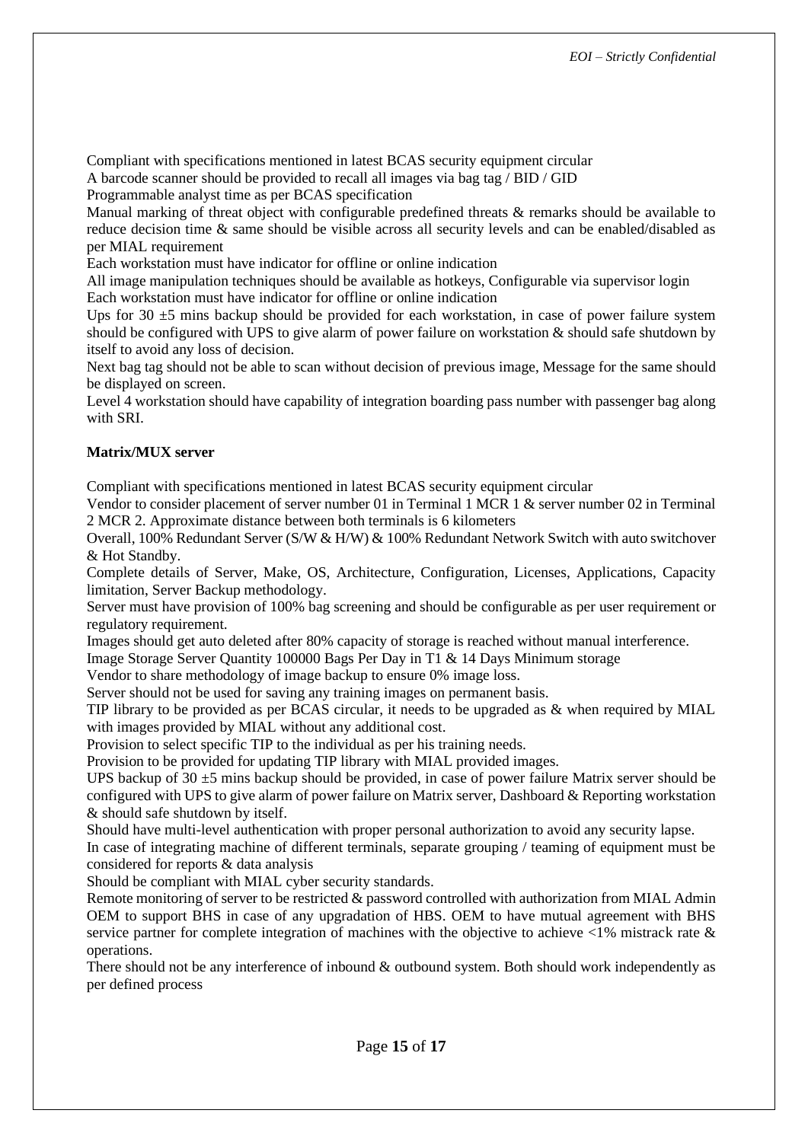Compliant with specifications mentioned in latest BCAS security equipment circular

A barcode scanner should be provided to recall all images via bag tag / BID / GID

Programmable analyst time as per BCAS specification

Manual marking of threat object with configurable predefined threats & remarks should be available to reduce decision time & same should be visible across all security levels and can be enabled/disabled as per MIAL requirement

Each workstation must have indicator for offline or online indication

All image manipulation techniques should be available as hotkeys, Configurable via supervisor login Each workstation must have indicator for offline or online indication

Ups for 30  $\pm$ 5 mins backup should be provided for each workstation, in case of power failure system should be configured with UPS to give alarm of power failure on workstation & should safe shutdown by itself to avoid any loss of decision.

Next bag tag should not be able to scan without decision of previous image, Message for the same should be displayed on screen.

Level 4 workstation should have capability of integration boarding pass number with passenger bag along with SRI.

# **Matrix/MUX server**

Compliant with specifications mentioned in latest BCAS security equipment circular

Vendor to consider placement of server number 01 in Terminal 1 MCR 1 & server number 02 in Terminal 2 MCR 2. Approximate distance between both terminals is 6 kilometers

Overall, 100% Redundant Server (S/W & H/W) & 100% Redundant Network Switch with auto switchover & Hot Standby.

Complete details of Server, Make, OS, Architecture, Configuration, Licenses, Applications, Capacity limitation, Server Backup methodology.

Server must have provision of 100% bag screening and should be configurable as per user requirement or regulatory requirement.

Images should get auto deleted after 80% capacity of storage is reached without manual interference.

Image Storage Server Quantity 100000 Bags Per Day in T1 & 14 Days Minimum storage

Vendor to share methodology of image backup to ensure 0% image loss.

Server should not be used for saving any training images on permanent basis.

TIP library to be provided as per BCAS circular, it needs to be upgraded as & when required by MIAL with images provided by MIAL without any additional cost.

Provision to select specific TIP to the individual as per his training needs.

Provision to be provided for updating TIP library with MIAL provided images.

UPS backup of  $30 \pm 5$  mins backup should be provided, in case of power failure Matrix server should be configured with UPS to give alarm of power failure on Matrix server, Dashboard & Reporting workstation & should safe shutdown by itself.

Should have multi-level authentication with proper personal authorization to avoid any security lapse.

In case of integrating machine of different terminals, separate grouping / teaming of equipment must be considered for reports & data analysis

Should be compliant with MIAL cyber security standards.

Remote monitoring of server to be restricted & password controlled with authorization from MIAL Admin OEM to support BHS in case of any upgradation of HBS. OEM to have mutual agreement with BHS service partner for complete integration of machines with the objective to achieve  $\langle 1\%$  mistrack rate  $\&$ operations.

There should not be any interference of inbound & outbound system. Both should work independently as per defined process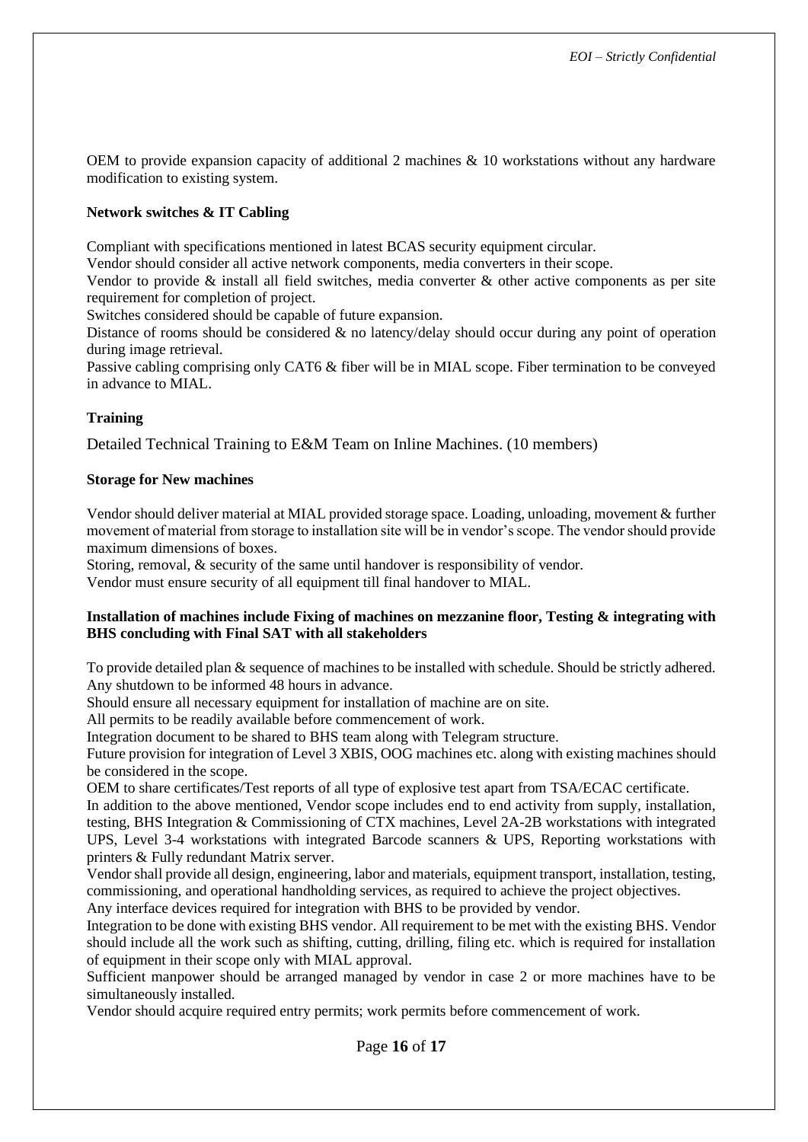OEM to provide expansion capacity of additional 2 machines & 10 workstations without any hardware modification to existing system.

### **Network switches & IT Cabling**

Compliant with specifications mentioned in latest BCAS security equipment circular.

Vendor should consider all active network components, media converters in their scope.

Vendor to provide  $\&$  install all field switches, media converter  $\&$  other active components as per site requirement for completion of project.

Switches considered should be capable of future expansion.

Distance of rooms should be considered & no latency/delay should occur during any point of operation during image retrieval.

Passive cabling comprising only CAT6 & fiber will be in MIAL scope. Fiber termination to be conveyed in advance to MIAL.

#### **Training**

Detailed Technical Training to E&M Team on Inline Machines. (10 members)

#### **Storage for New machines**

Vendor should deliver material at MIAL provided storage space. Loading, unloading, movement & further movement of material from storage to installation site will be in vendor's scope. The vendor should provide maximum dimensions of boxes.

Storing, removal, & security of the same until handover is responsibility of vendor.

Vendor must ensure security of all equipment till final handover to MIAL.

#### **Installation of machines include Fixing of machines on mezzanine floor, Testing & integrating with BHS concluding with Final SAT with all stakeholders**

To provide detailed plan & sequence of machines to be installed with schedule. Should be strictly adhered. Any shutdown to be informed 48 hours in advance.

Should ensure all necessary equipment for installation of machine are on site.

All permits to be readily available before commencement of work.

Integration document to be shared to BHS team along with Telegram structure.

Future provision for integration of Level 3 XBIS, OOG machines etc. along with existing machines should be considered in the scope.

OEM to share certificates/Test reports of all type of explosive test apart from TSA/ECAC certificate.

In addition to the above mentioned, Vendor scope includes end to end activity from supply, installation, testing, BHS Integration & Commissioning of CTX machines, Level 2A-2B workstations with integrated UPS, Level 3-4 workstations with integrated Barcode scanners & UPS, Reporting workstations with printers & Fully redundant Matrix server.

Vendor shall provide all design, engineering, labor and materials, equipment transport, installation, testing, commissioning, and operational handholding services, as required to achieve the project objectives.

Any interface devices required for integration with BHS to be provided by vendor.

Integration to be done with existing BHS vendor. All requirement to be met with the existing BHS. Vendor should include all the work such as shifting, cutting, drilling, filing etc. which is required for installation of equipment in their scope only with MIAL approval.

Sufficient manpower should be arranged managed by vendor in case 2 or more machines have to be simultaneously installed.

Vendor should acquire required entry permits; work permits before commencement of work.

Page **16** of **17**